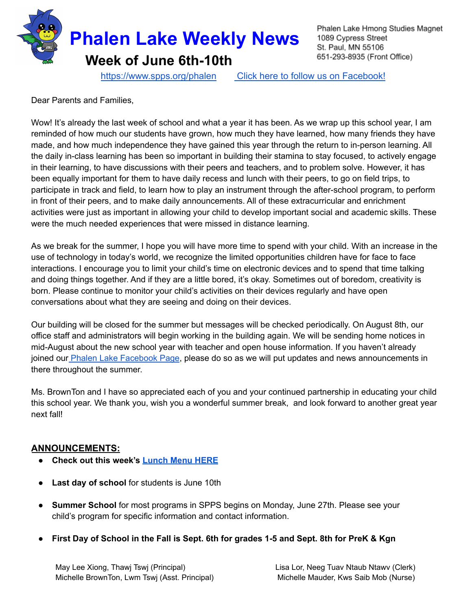

Phalen Lake Hmong Studies Magnet 1089 Cypress Street St. Paul, MN 55106 651-293-8935 (Front Office)

<https://www.spps.org/phalen> Click [here to follow us on Facebook!](https://www.facebook.com/phalenlakehmongstudies/)

Dear Parents and Families,

Wow! It's already the last week of school and what a year it has been. As we wrap up this school year, I am reminded of how much our students have grown, how much they have learned, how many friends they have made, and how much independence they have gained this year through the return to in-person learning. All the daily in-class learning has been so important in building their stamina to stay focused, to actively engage in their learning, to have discussions with their peers and teachers, and to problem solve. However, it has been equally important for them to have daily recess and lunch with their peers, to go on field trips, to participate in track and field, to learn how to play an instrument through the after-school program, to perform in front of their peers, and to make daily announcements. All of these extracurricular and enrichment activities were just as important in allowing your child to develop important social and academic skills. These were the much needed experiences that were missed in distance learning.

As we break for the summer, I hope you will have more time to spend with your child. With an increase in the use of technology in today's world, we recognize the limited opportunities children have for face to face interactions. I encourage you to limit your child's time on electronic devices and to spend that time talking and doing things together. And if they are a little bored, it's okay. Sometimes out of boredom, creativity is born. Please continue to monitor your child's activities on their devices regularly and have open conversations about what they are seeing and doing on their devices.

Our building will be closed for the summer but messages will be checked periodically. On August 8th, our office staff and administrators will begin working in the building again. We will be sending home notices in mid-August about the new school year with teacher and open house information. If you haven't already joined our Phalen Lake [Facebook](https://www.facebook.com/phalenlakehmongstudies/) Page, please do so as we will put updates and news announcements in there throughout the summer.

Ms. BrownTon and I have so appreciated each of you and your continued partnership in educating your child this school year. We thank you, wish you a wonderful summer break, and look forward to another great year next fall!

## **ANNOUNCEMENTS:**

- **● Check out this week's [Lunch](https://drive.google.com/file/d/1E0eaSww28Uxf7lcfYRTOdGvKebFB_h6R/view?usp=sharing) Menu HERE**
- **Last day of school** for students is June 10th
- **Summer School** for most programs in SPPS begins on Monday, June 27th. Please see your child's program for specific information and contact information.
- First Day of School in the Fall is Sept. 6th for grades 1-5 and Sept. 8th for PreK & Kgn